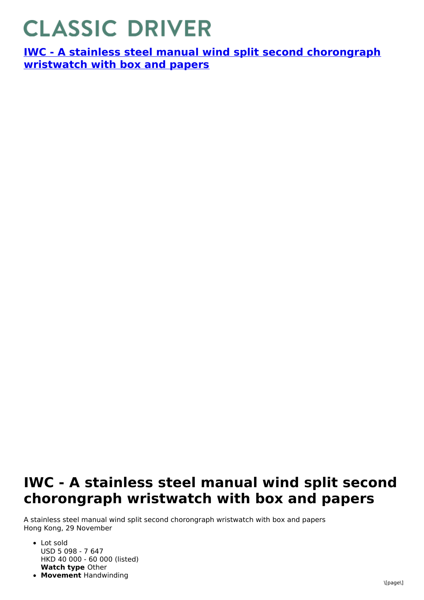## **CLASSIC DRIVER**

**IWC - A stainless steel manual wind split second [chorongraph](https://www.classicdriver.com/en/watch/iwc/266987) wristwatch with box and papers**

## **IWC - A stainless steel manual wind split second chorongraph wristwatch with box and papers**

A stainless steel manual wind split second chorongraph wristwatch with box and papers Hong Kong, 29 November

- **Watch type** Other • Lot sold USD 5 098 - 7 647 HKD 40 000 - 60 000 (listed)
- **Movement** Handwinding